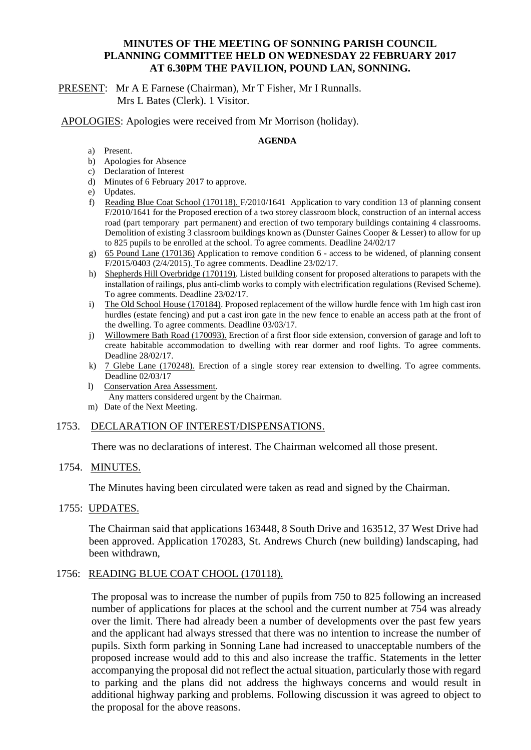## **MINUTES OF THE MEETING OF SONNING PARISH COUNCIL PLANNING COMMITTEE HELD ON WEDNESDAY 22 FEBRUARY 2017 AT 6.30PM THE PAVILION, POUND LAN, SONNING.**

PRESENT: Mr A E Farnese (Chairman), Mr T Fisher, Mr I Runnalls. Mrs L Bates (Clerk). 1 Visitor.

APOLOGIES: Apologies were received from Mr Morrison (holiday).

#### **AGENDA**

- a) Present.
- b) Apologies for Absence
- c) Declaration of Interest
- d) Minutes of 6 February 2017 to approve.
- e) Updates.
- f) Reading Blue Coat School (170118). F/2010/1641 Application to vary condition 13 of planning consent F/2010/1641 for the Proposed erection of a two storey classroom block, construction of an internal access road (part temporary part permanent) and erection of two temporary buildings containing 4 classrooms. Demolition of existing 3 classroom buildings known as (Dunster Gaines Cooper & Lesser) to allow for up to 825 pupils to be enrolled at the school. To agree comments. Deadline 24/02/17
- g) 65 Pound Lane (170136) Application to remove condition 6 access to be widened, of planning consent F/2015/0403 (2/4/2015). To agree comments. Deadline 23/02/17.
- h) Shepherds Hill Overbridge (170119). Listed building consent for proposed alterations to parapets with the installation of railings, plus anti-climb works to comply with electrification regulations (Revised Scheme). To agree comments. Deadline 23/02/17.
- i) The Old School House (170184). Proposed replacement of the willow hurdle fence with 1m high cast iron hurdles (estate fencing) and put a cast iron gate in the new fence to enable an access path at the front of the dwelling. To agree comments. Deadline 03/03/17.
- j) Willowmere Bath Road (170093). Erection of a first floor side extension, conversion of garage and loft to create habitable accommodation to dwelling with rear dormer and roof lights. To agree comments. Deadline 28/02/17.
- k) 7 Glebe Lane (170248). Erection of a single storey rear extension to dwelling. To agree comments. Deadline 02/03/17
- l) Conservation Area Assessment. Any matters considered urgent by the Chairman.
- m) Date of the Next Meeting.

### 1753. DECLARATION OF INTEREST/DISPENSATIONS.

There was no declarations of interest. The Chairman welcomed all those present.

### 1754. MINUTES.

The Minutes having been circulated were taken as read and signed by the Chairman.

### 1755: UPDATES.

The Chairman said that applications 163448, 8 South Drive and 163512, 37 West Drive had been approved. Application 170283, St. Andrews Church (new building) landscaping, had been withdrawn,

### 1756: READING BLUE COAT CHOOL (170118).

The proposal was to increase the number of pupils from 750 to 825 following an increased number of applications for places at the school and the current number at 754 was already over the limit. There had already been a number of developments over the past few years and the applicant had always stressed that there was no intention to increase the number of pupils. Sixth form parking in Sonning Lane had increased to unacceptable numbers of the proposed increase would add to this and also increase the traffic. Statements in the letter accompanying the proposal did not reflect the actual situation, particularly those with regard to parking and the plans did not address the highways concerns and would result in additional highway parking and problems. Following discussion it was agreed to object to the proposal for the above reasons.